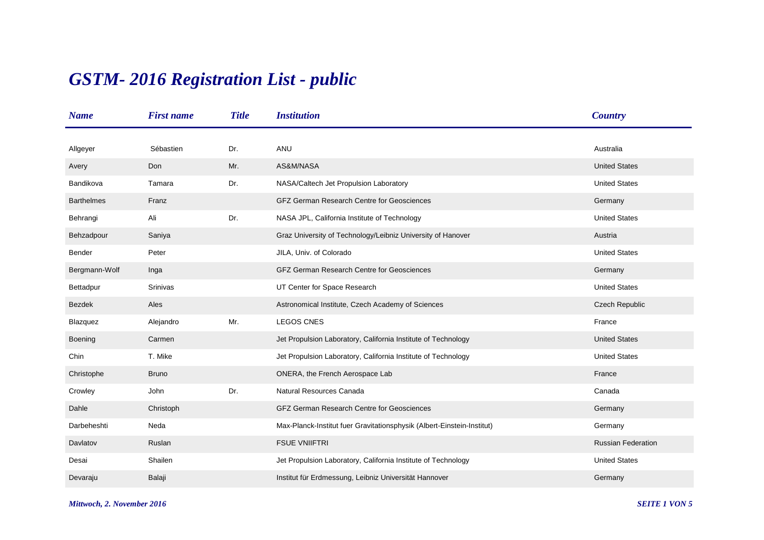## *GSTM- 2016 Registration List - public*

| <b>Name</b>       | <b>First name</b> | <b>Title</b> | <i><b>Institution</b></i>                                              | <b>Country</b>            |
|-------------------|-------------------|--------------|------------------------------------------------------------------------|---------------------------|
|                   |                   |              |                                                                        |                           |
| Allgeyer          | Sébastien         | Dr.          | ANU                                                                    | Australia                 |
| Avery             | Don               | Mr.          | AS&M/NASA                                                              | <b>United States</b>      |
| Bandikova         | Tamara            | Dr.          | NASA/Caltech Jet Propulsion Laboratory                                 | <b>United States</b>      |
| <b>Barthelmes</b> | Franz             |              | <b>GFZ German Research Centre for Geosciences</b>                      | Germany                   |
| Behrangi          | Ali               | Dr.          | NASA JPL, California Institute of Technology                           | <b>United States</b>      |
| Behzadpour        | Saniya            |              | Graz University of Technology/Leibniz University of Hanover            | Austria                   |
| Bender            | Peter             |              | JILA, Univ. of Colorado                                                | <b>United States</b>      |
| Bergmann-Wolf     | Inga              |              | <b>GFZ German Research Centre for Geosciences</b>                      | Germany                   |
| Bettadpur         | Srinivas          |              | UT Center for Space Research                                           | <b>United States</b>      |
| <b>Bezdek</b>     | Ales              |              | Astronomical Institute, Czech Academy of Sciences                      | Czech Republic            |
| Blazquez          | Alejandro         | Mr.          | <b>LEGOS CNES</b>                                                      | France                    |
| Boening           | Carmen            |              | Jet Propulsion Laboratory, California Institute of Technology          | <b>United States</b>      |
| Chin              | T. Mike           |              | Jet Propulsion Laboratory, California Institute of Technology          | <b>United States</b>      |
| Christophe        | <b>Bruno</b>      |              | ONERA, the French Aerospace Lab                                        | France                    |
| Crowley           | John              | Dr.          | Natural Resources Canada                                               | Canada                    |
| Dahle             | Christoph         |              | <b>GFZ German Research Centre for Geosciences</b>                      | Germany                   |
| Darbeheshti       | Neda              |              | Max-Planck-Institut fuer Gravitationsphysik (Albert-Einstein-Institut) | Germany                   |
| Davlatov          | Ruslan            |              | <b>FSUE VNIIFTRI</b>                                                   | <b>Russian Federation</b> |
| Desai             | Shailen           |              | Jet Propulsion Laboratory, California Institute of Technology          | <b>United States</b>      |
| Devaraju          | Balaji            |              | Institut für Erdmessung, Leibniz Universität Hannover                  | Germany                   |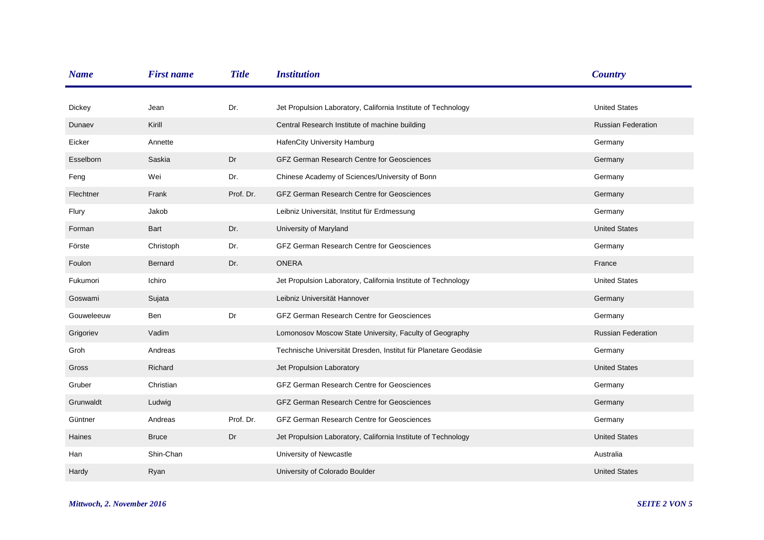| <b>Name</b>   | <b>First name</b> | <b>Title</b> | <b>Institution</b>                                              | <b>Country</b>            |
|---------------|-------------------|--------------|-----------------------------------------------------------------|---------------------------|
| <b>Dickey</b> | Jean              | Dr.          | Jet Propulsion Laboratory, California Institute of Technology   | <b>United States</b>      |
| Dunaev        | Kirill            |              | Central Research Institute of machine building                  | <b>Russian Federation</b> |
| Eicker        | Annette           |              | HafenCity University Hamburg                                    | Germany                   |
| Esselborn     | Saskia            | Dr           | <b>GFZ German Research Centre for Geosciences</b>               | Germany                   |
| Feng          | Wei               | Dr.          | Chinese Academy of Sciences/University of Bonn                  | Germany                   |
| Flechtner     | Frank             | Prof. Dr.    | GFZ German Research Centre for Geosciences                      | Germany                   |
| Flury         | Jakob             |              | Leibniz Universität, Institut für Erdmessung                    | Germany                   |
| Forman        | Bart              | Dr.          | University of Maryland                                          | <b>United States</b>      |
| Förste        | Christoph         | Dr.          | <b>GFZ German Research Centre for Geosciences</b>               | Germany                   |
| Foulon        | Bernard           | Dr.          | <b>ONERA</b>                                                    | France                    |
| Fukumori      | Ichiro            |              | Jet Propulsion Laboratory, California Institute of Technology   | <b>United States</b>      |
| Goswami       | Sujata            |              | Leibniz Universität Hannover                                    | Germany                   |
| Gouweleeuw    | <b>Ben</b>        | Dr           | <b>GFZ German Research Centre for Geosciences</b>               | Germany                   |
| Grigoriev     | Vadim             |              | Lomonosov Moscow State University, Faculty of Geography         | <b>Russian Federation</b> |
| Groh          | Andreas           |              | Technische Universität Dresden, Institut für Planetare Geodäsie | Germany                   |
| Gross         | Richard           |              | Jet Propulsion Laboratory                                       | <b>United States</b>      |
| Gruber        | Christian         |              | GFZ German Research Centre for Geosciences                      | Germany                   |
| Grunwaldt     | Ludwig            |              | <b>GFZ German Research Centre for Geosciences</b>               | Germany                   |
| Güntner       | Andreas           | Prof. Dr.    | <b>GFZ German Research Centre for Geosciences</b>               | Germany                   |
| Haines        | <b>Bruce</b>      | Dr           | Jet Propulsion Laboratory, California Institute of Technology   | <b>United States</b>      |
| Han           | Shin-Chan         |              | University of Newcastle                                         | Australia                 |
| Hardy         | Ryan              |              | University of Colorado Boulder                                  | <b>United States</b>      |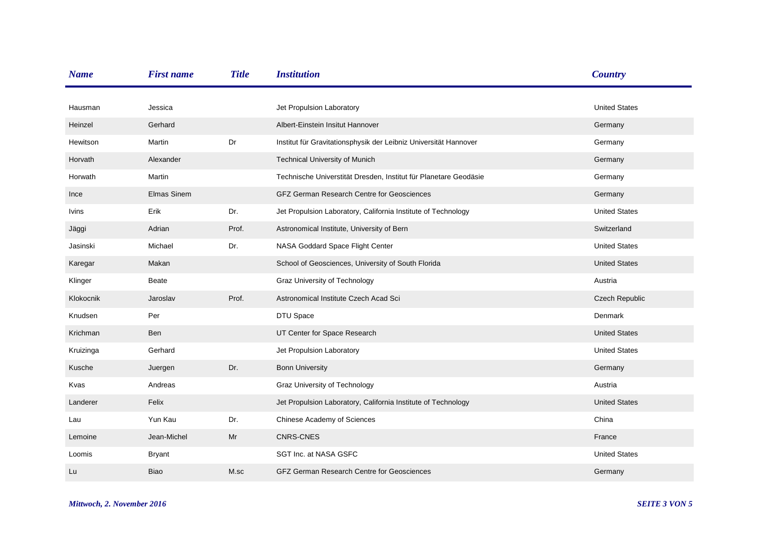| <b>Name</b>  | <b>First name</b>  | <b>Title</b> | <b>Institution</b>                                               | <b>Country</b>       |
|--------------|--------------------|--------------|------------------------------------------------------------------|----------------------|
|              |                    |              |                                                                  |                      |
| Hausman      | Jessica            |              | Jet Propulsion Laboratory                                        | <b>United States</b> |
| Heinzel      | Gerhard            |              | Albert-Einstein Insitut Hannover                                 | Germany              |
| Hewitson     | Martin             | Dr           | Institut für Gravitationsphysik der Leibniz Universität Hannover | Germany              |
| Horvath      | Alexander          |              | <b>Technical University of Munich</b>                            | Germany              |
| Horwath      | Martin             |              | Technische Universtität Dresden, Institut für Planetare Geodäsie | Germany              |
| Ince         | <b>Elmas Sinem</b> |              | <b>GFZ German Research Centre for Geosciences</b>                | Germany              |
| <b>Ivins</b> | Erik               | Dr.          | Jet Propulsion Laboratory, California Institute of Technology    | <b>United States</b> |
| Jäggi        | Adrian             | Prof.        | Astronomical Institute, University of Bern                       | Switzerland          |
| Jasinski     | Michael            | Dr.          | NASA Goddard Space Flight Center                                 | <b>United States</b> |
| Karegar      | Makan              |              | School of Geosciences, University of South Florida               | <b>United States</b> |
| Klinger      | Beate              |              | Graz University of Technology                                    | Austria              |
| Klokocnik    | Jaroslav           | Prof.        | Astronomical Institute Czech Acad Sci                            | Czech Republic       |
| Knudsen      | Per                |              | DTU Space                                                        | <b>Denmark</b>       |
| Krichman     | Ben                |              | UT Center for Space Research                                     | <b>United States</b> |
| Kruizinga    | Gerhard            |              | Jet Propulsion Laboratory                                        | <b>United States</b> |
| Kusche       | Juergen            | Dr.          | <b>Bonn University</b>                                           | Germany              |
| Kvas         | Andreas            |              | Graz University of Technology                                    | Austria              |
| Landerer     | Felix              |              | Jet Propulsion Laboratory, California Institute of Technology    | <b>United States</b> |
| Lau          | Yun Kau            | Dr.          | Chinese Academy of Sciences                                      | China                |
| Lemoine      | Jean-Michel        | Mr           | <b>CNRS-CNES</b>                                                 | France               |
| Loomis       | <b>Bryant</b>      |              | SGT Inc. at NASA GSFC                                            | <b>United States</b> |
| Lu           | <b>Biao</b>        | M.sc         | GFZ German Research Centre for Geosciences                       | Germany              |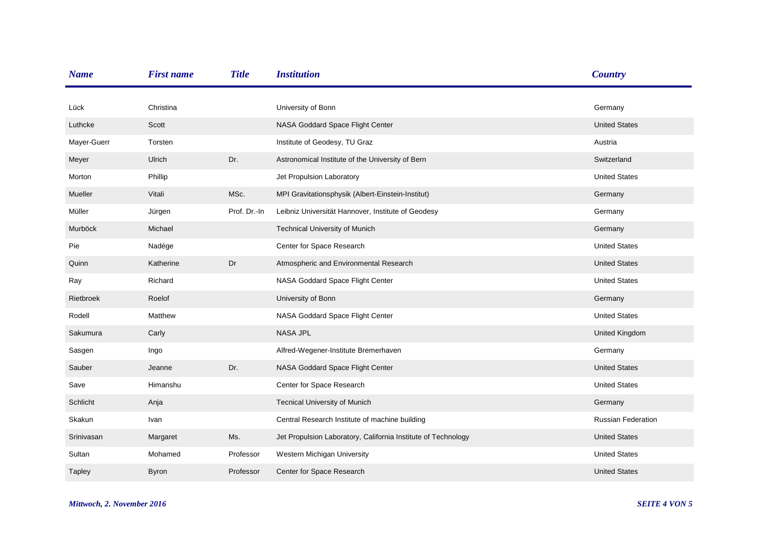| <b>Name</b>   | <b>First name</b> | <b>Title</b> | <b>Institution</b>                                            | <b>Country</b>            |
|---------------|-------------------|--------------|---------------------------------------------------------------|---------------------------|
|               |                   |              |                                                               |                           |
| Lück          | Christina         |              | University of Bonn                                            | Germany                   |
| Luthcke       | Scott             |              | NASA Goddard Space Flight Center                              | <b>United States</b>      |
| Mayer-Guerr   | Torsten           |              | Institute of Geodesy, TU Graz                                 | Austria                   |
| Meyer         | Ulrich            | Dr.          | Astronomical Institute of the University of Bern              | Switzerland               |
| Morton        | Phillip           |              | Jet Propulsion Laboratory                                     | <b>United States</b>      |
| Mueller       | Vitali            | MSc.         | MPI Gravitationsphysik (Albert-Einstein-Institut)             | Germany                   |
| Müller        | Jürgen            | Prof. Dr.-In | Leibniz Universität Hannover, Institute of Geodesy            | Germany                   |
| Murböck       | Michael           |              | <b>Technical University of Munich</b>                         | Germany                   |
| Pie           | Nadége            |              | Center for Space Research                                     | <b>United States</b>      |
| Quinn         | Katherine         | Dr           | Atmospheric and Environmental Research                        | <b>United States</b>      |
| Ray           | Richard           |              | NASA Goddard Space Flight Center                              | <b>United States</b>      |
| Rietbroek     | Roelof            |              | University of Bonn                                            | Germany                   |
| Rodell        | Matthew           |              | NASA Goddard Space Flight Center                              | <b>United States</b>      |
| Sakumura      | Carly             |              | <b>NASA JPL</b>                                               | <b>United Kingdom</b>     |
| Sasgen        | Ingo              |              | Alfred-Wegener-Institute Bremerhaven                          | Germany                   |
| Sauber        | Jeanne            | Dr.          | NASA Goddard Space Flight Center                              | <b>United States</b>      |
| Save          | Himanshu          |              | Center for Space Research                                     | <b>United States</b>      |
| Schlicht      | Anja              |              | <b>Tecnical University of Munich</b>                          | Germany                   |
| Skakun        | Ivan              |              | Central Research Institute of machine building                | <b>Russian Federation</b> |
| Srinivasan    | Margaret          | Ms.          | Jet Propulsion Laboratory, California Institute of Technology | <b>United States</b>      |
| Sultan        | Mohamed           | Professor    | Western Michigan University                                   | <b>United States</b>      |
| <b>Tapley</b> | <b>Byron</b>      | Professor    | Center for Space Research                                     | <b>United States</b>      |